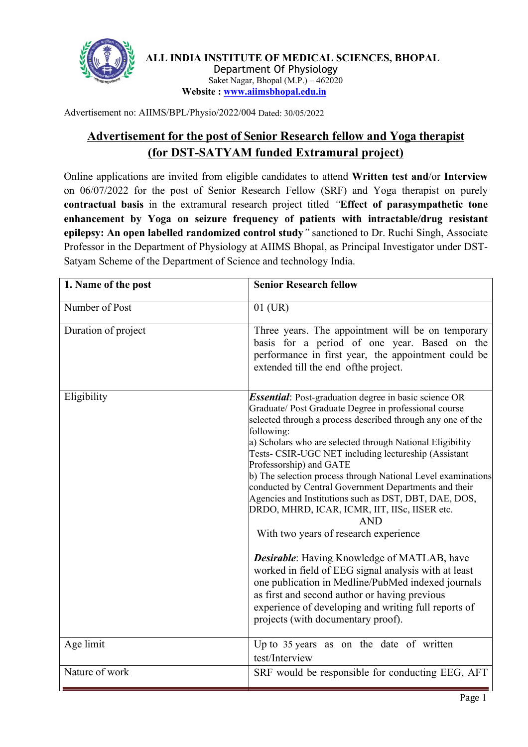

**ALL INDIA INSTITUTE OF MEDICAL SCIENCES, BHOPAL** Department Of Physiology Saket Nagar, Bhopal (M.P.) – 462020 **Website : [www.aiimsbhopal.edu.in](http://www.aiimsbhopal.edu.in)**

Advertisement no: AIIMS/BPL/Physio/2022/004 Dated: 30/05/2022

# **Advertisement for the post of Senior Research fellow and Yogatherapist (for DST-SATYAM** funded Extramural project)

Online applications are invited from eligible candidates to attend **Written test and**/or **Interview** on 06/07/2022 for the post of Senior Research Fellow (SRF) and Yoga therapist on purely **contractual basis** in the extramural research project titled *"***Effect of parasympathetic tone enhancement by Yoga on seizure frequency of patients with intractable/drug resistant epilepsy: An open labelled randomized control study***"* sanctioned to Dr. Ruchi Singh, Associate Professor in the Department of Physiology at AIIMS Bhopal, as Principal Investigator under DST- Satyam Scheme of the Department of Science and technology India.

| 1. Name of the post | <b>Senior Research fellow</b>                                                                                                                                                                                                                                                                                                                                                                                                                                                                                                                                                                                                                                                                                                                                                                                                                                                                                                                                    |
|---------------------|------------------------------------------------------------------------------------------------------------------------------------------------------------------------------------------------------------------------------------------------------------------------------------------------------------------------------------------------------------------------------------------------------------------------------------------------------------------------------------------------------------------------------------------------------------------------------------------------------------------------------------------------------------------------------------------------------------------------------------------------------------------------------------------------------------------------------------------------------------------------------------------------------------------------------------------------------------------|
| Number of Post      | $01$ (UR)                                                                                                                                                                                                                                                                                                                                                                                                                                                                                                                                                                                                                                                                                                                                                                                                                                                                                                                                                        |
| Duration of project | Three years. The appointment will be on temporary<br>basis for a period of one year. Based on the<br>performance in first year, the appointment could be<br>extended till the end of the project.                                                                                                                                                                                                                                                                                                                                                                                                                                                                                                                                                                                                                                                                                                                                                                |
| Eligibility         | <b>Essential</b> : Post-graduation degree in basic science OR<br>Graduate/ Post Graduate Degree in professional course<br>selected through a process described through any one of the<br>following:<br>a) Scholars who are selected through National Eligibility<br>Tests- CSIR-UGC NET including lectureship (Assistant<br>Professorship) and GATE<br>b) The selection process through National Level examinations<br>conducted by Central Government Departments and their<br>Agencies and Institutions such as DST, DBT, DAE, DOS,<br>DRDO, MHRD, ICAR, ICMR, IIT, IISc, IISER etc.<br><b>AND</b><br>With two years of research experience<br><b>Desirable:</b> Having Knowledge of MATLAB, have<br>worked in field of EEG signal analysis with at least<br>one publication in Medline/PubMed indexed journals<br>as first and second author or having previous<br>experience of developing and writing full reports of<br>projects (with documentary proof). |
| Age limit           | Up to 35 years as on the date of written<br>test/Interview                                                                                                                                                                                                                                                                                                                                                                                                                                                                                                                                                                                                                                                                                                                                                                                                                                                                                                       |
| Nature of work      | SRF would be responsible for conducting EEG, AFT                                                                                                                                                                                                                                                                                                                                                                                                                                                                                                                                                                                                                                                                                                                                                                                                                                                                                                                 |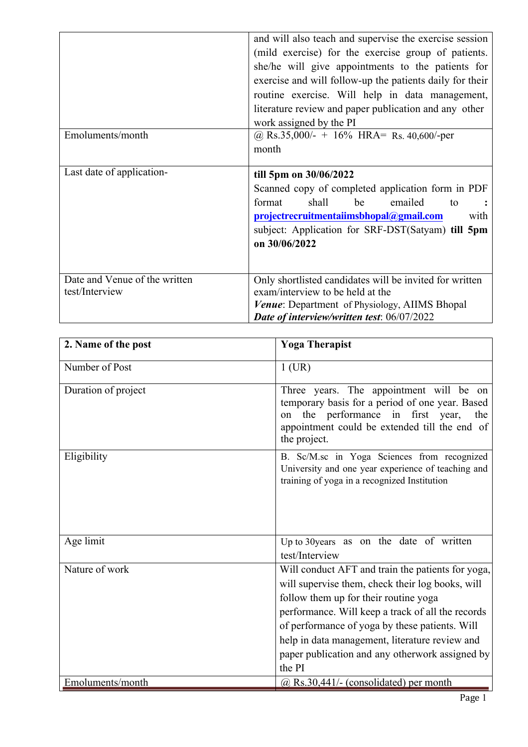| and will also teach and supervise the exercise session   |  |  |  |
|----------------------------------------------------------|--|--|--|
| (mild exercise) for the exercise group of patients.      |  |  |  |
| she/he will give appointments to the patients for        |  |  |  |
| exercise and will follow-up the patients daily for their |  |  |  |
| routine exercise. Will help in data management,          |  |  |  |
| literature review and paper publication and any other    |  |  |  |
|                                                          |  |  |  |
|                                                          |  |  |  |
|                                                          |  |  |  |
|                                                          |  |  |  |
|                                                          |  |  |  |
| Scanned copy of completed application form in PDF        |  |  |  |
|                                                          |  |  |  |
| with                                                     |  |  |  |
| subject: Application for SRF-DST(Satyam) till 5pm        |  |  |  |
|                                                          |  |  |  |
|                                                          |  |  |  |
|                                                          |  |  |  |
| Only shortlisted candidates will be invited for written  |  |  |  |
|                                                          |  |  |  |
|                                                          |  |  |  |
|                                                          |  |  |  |

| 2. Name of the post | <b>Yoga Therapist</b>                                                                                                                                                                                                                                                                                                                                                |
|---------------------|----------------------------------------------------------------------------------------------------------------------------------------------------------------------------------------------------------------------------------------------------------------------------------------------------------------------------------------------------------------------|
| Number of Post      | $1$ (UR)                                                                                                                                                                                                                                                                                                                                                             |
| Duration of project | Three years. The appointment will be on<br>temporary basis for a period of one year. Based<br>on the performance in first year,<br>the<br>appointment could be extended till the end of<br>the project.                                                                                                                                                              |
| Eligibility         | B. Sc/M.sc in Yoga Sciences from recognized<br>University and one year experience of teaching and<br>training of yoga in a recognized Institution                                                                                                                                                                                                                    |
| Age limit           | Up to 30 years as on the date of written<br>test/Interview                                                                                                                                                                                                                                                                                                           |
| Nature of work      | Will conduct AFT and train the patients for yoga,<br>will supervise them, check their log books, will<br>follow them up for their routine yoga<br>performance. Will keep a track of all the records<br>of performance of yoga by these patients. Will<br>help in data management, literature review and<br>paper publication and any otherwork assigned by<br>the PI |
| Emoluments/month    | $(a)$ Rs.30,441/- (consolidated) per month                                                                                                                                                                                                                                                                                                                           |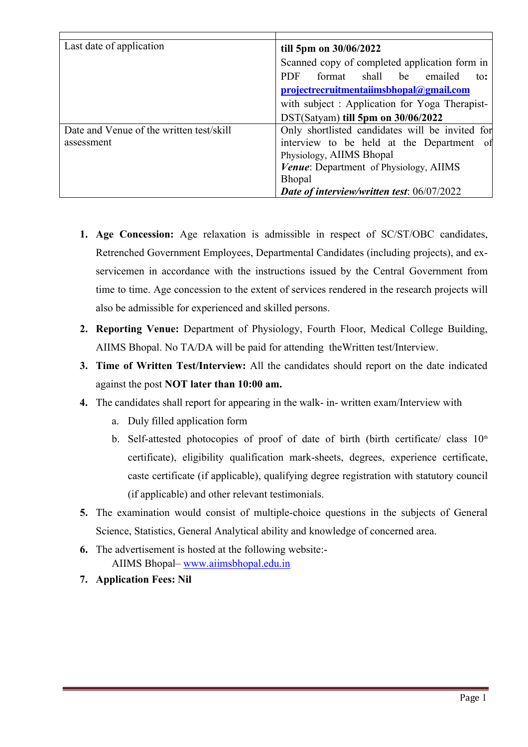| Last date of application                 | till 5pm on 30/06/2022                             |
|------------------------------------------|----------------------------------------------------|
|                                          | Scanned copy of completed application form in      |
|                                          | shall be<br><b>PDF</b><br>format<br>emailed<br>to: |
|                                          | projectrecruitmentaiimsbhopal@gmail.com            |
|                                          | with subject: Application for Yoga Therapist-      |
|                                          | DST(Satyam) till 5pm on 30/06/2022                 |
| Date and Venue of the written test/skill | Only shortlisted candidates will be invited for    |
| assessment                               | interview to be held at the Department of          |
|                                          | Physiology, AIIMS Bhopal                           |
|                                          | <i>Venue:</i> Department of Physiology, AIIMS      |
|                                          | <b>Bhopal</b>                                      |
|                                          | Date of interview/written test: 06/07/2022         |

- **1. Age Concession:** Age relaxation is admissible in respect of SC/ST/OBC candidates, Retrenched Government Employees, Departmental Candidates (including projects), and exservicemen in accordance with the instructions issued by the Central Government from time to time. Age concession to the extent of services rendered in the research projects will also be admissible for experienced and skilled persons.
- **2. Reporting Venue:** Department of Physiology, Fourth Floor, Medical College Building, AIIMS Bhopal. No TA/DA will be paid for attending theWritten test/Interview.
- **3. Time of Written Test/Interview:** All the candidates should report on the date indicated against the post **NOT later than 10:00 am.**
- **4.** The candidates shall report for appearing in the walk- in- written exam/Interview with
	- a. Duly filled application form
	- b. Self-attested photocopies of proof of date of birth (birth certificate/ class  $10<sup>th</sup>$ certificate), eligibility qualification mark-sheets, degrees, experience certificate, caste certificate (if applicable), qualifying degree registration with statutory council (if applicable) and other relevant testimonials.
- **5.** The examination would consist of multiple-choice questions in the subjects of General Science, Statistics, General Analytical ability and knowledge of concerned area.
- **6.** The advertisement is hosted at the following website:- AIIMS Bhopal– [www.aiimsbhopal.edu.in](http://www.aiimsbhopal.edu.in/)
- **7. Application Fees: Nil**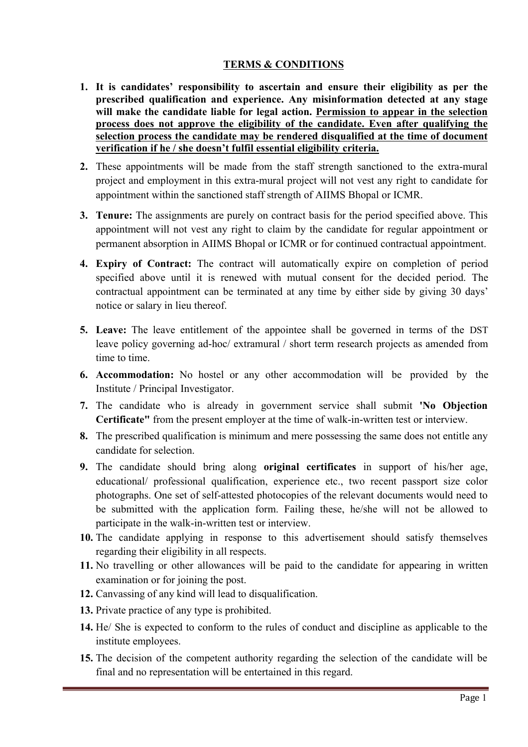#### **TERMS & CONDITIONS**

- **1. It is candidates' responsibility to ascertain and ensure their eligibility as per the prescribed qualification and experience. Any misinformation detected at any stage will make the candidate liable for legal action. Permission to appear in the selection process does not approve the eligibility of the candidate. Even after qualifying the selection process the candidate may be rendered disqualified at the time of document verification if he / she doesn't fulfil essential eligibility criteria.**
- **2.** These appointments will be made from the staff strength sanctioned to the extra-mural project and employment in this extra-mural project will not vest any right to candidate for appointment within the sanctioned staff strength of AIIMS Bhopal or ICMR.
- **3. Tenure:** The assignments are purely on contract basis for the period specified above. This appointment will not vest any right to claim by the candidate for regular appointment or permanent absorption in AIIMS Bhopal or ICMR or for continued contractual appointment.
- **4. Expiry of Contract:** The contract will automatically expire on completion of period specified above until it is renewed with mutual consent for the decided period. The contractual appointment can be terminated at any time by either side by giving 30 days' notice or salary in lieu thereof.
- **5. Leave:** The leave entitlement of the appointee shall be governed in terms of the DST leave policy governing ad-hoc/ extramural / short term research projects as amended from time to time.
- **6. Accommodation:** No hostel or any other accommodation will be provided by the Institute / Principal Investigator.
- **7.** The candidate who is already in government service shall submit **'No Objection Certificate"** from the present employer at the time of walk-in-written test or interview.
- **8.** The prescribed qualification is minimum and mere possessing the same does not entitle any candidate for selection.
- **9.** The candidate should bring along **original certificates** in support of his/her age, educational/ professional qualification, experience etc., two recent passport size color photographs. One set of self-attested photocopies of the relevant documents would need to be submitted with the application form. Failing these, he/she will not be allowed to participate in the walk-in-written test or interview.
- **10.** The candidate applying in response to this advertisement should satisfy themselves regarding their eligibility in all respects.
- **11.** No travelling or other allowances will be paid to the candidate for appearing in written examination or for joining the post.
- **12.** Canvassing of any kind will lead to disqualification.
- **13.** Private practice of any type is prohibited.
- **14.** He/ She is expected to conform to the rules of conduct and discipline as applicable to the institute employees.
- **15.** The decision of the competent authority regarding the selection of the candidate will be final and no representation will be entertained in this regard.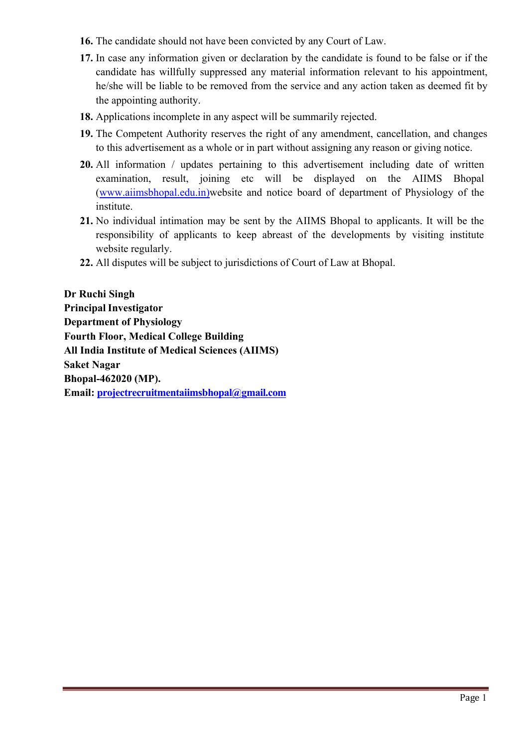- **16.** The candidate should not have been convicted by any Court of Law.
- **17.** In case any information given or declaration by the candidate is found to be false or if the candidate has willfully suppressed any material information relevant to his appointment, he/she will be liable to be removed from the service and any action taken as deemed fit by the appointing authority.
- **18.** Applications incomplete in any aspect will be summarily rejected.
- **19.** The Competent Authority reserves the right of any amendment, cancellation, and changes to this advertisement as a whole or in part without assigning any reason or giving notice.
- **20.** All information / updates pertaining to this advertisement including date of written examination, result, joining etc will be displayed on the AIIMS Bhopal ([www.aiimsbhopal.edu.in](http://www.aiimsbhopal.edu.in/))website and notice board of department of Physiology of the institute.
- **21.** No individual intimation may be sent by the AIIMS Bhopal to applicants. It will be the responsibility of applicants to keep abreast of the developments by visiting institute website regularly.
- **22.** All disputes will be subject to jurisdictions of Court of Law at Bhopal.

**Dr Ruchi Singh Principal Investigator Department of Physiology Fourth Floor, Medical College Building All India Institute of Medical Sciences (AIIMS) Saket Nagar Bhopal-462020 (MP). Email: [projectrecruitmentaiimsbhopal@gmail.com](mailto:projectrecruitmentaiimsbhopal@gmail.com)**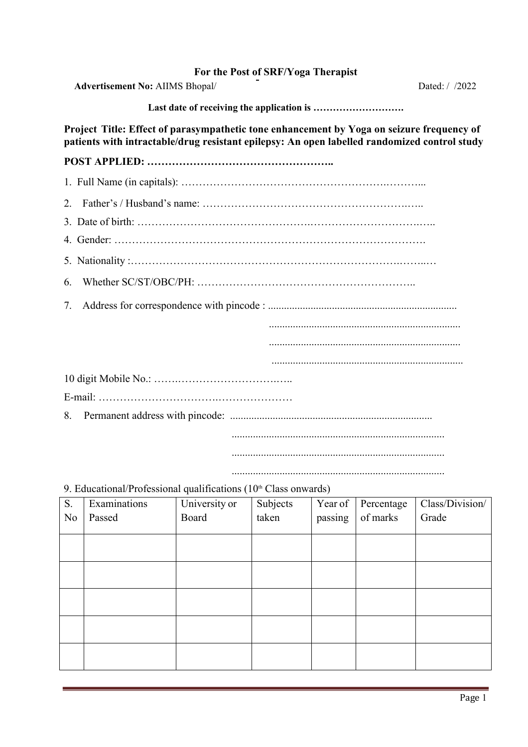### **For the Postof SRF/Yoga Therapist**

Advertisement No: AIIMS Bhopal/ **Dated:** / /2022

**Last date of receiving the application is ……………………….**

**Project Title: Effect of parasympathetic tone enhancement by Yoga on seizure frequency of patients with intractable/drug resistant epilepsy: An open labelled randomized control study**

## **POST APPLIED: ……………………………………………..**

#### 9. Educational/Professional qualifications  $(10<sup>th</sup> Class onwards)$

| S.             | Examinations | University or | Subjects | Year of | Percentage | Class/Division/ |
|----------------|--------------|---------------|----------|---------|------------|-----------------|
| N <sub>0</sub> | Passed       | Board         | taken    | passing | of marks   | Grade           |
|                |              |               |          |         |            |                 |
|                |              |               |          |         |            |                 |
|                |              |               |          |         |            |                 |
|                |              |               |          |         |            |                 |
|                |              |               |          |         |            |                 |
|                |              |               |          |         |            |                 |
|                |              |               |          |         |            |                 |
|                |              |               |          |         |            |                 |
|                |              |               |          |         |            |                 |
|                |              |               |          |         |            |                 |

................................................................................